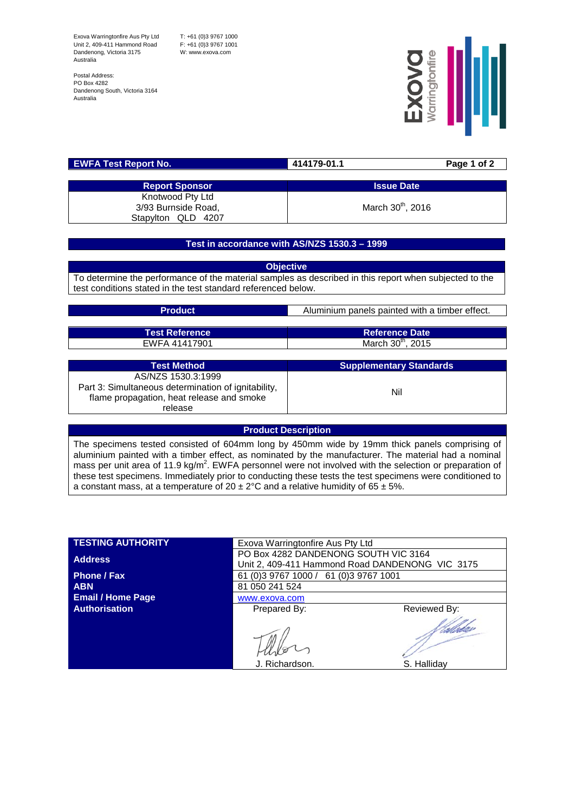Exova Warringtonfire Aus Pty Ltd Unit 2, 409-411 Hammond Road Dandenong, Victoria 3175 Australia

T: +61 (0)3 9767 1000 F: +61 (0)3 9767 1001 W: www.exova.com

Postal Address: PO Box 4282 Dandenong South, Victoria 3164 Australia



| <b>EWFA Test Report No.</b> | 414179-01.1 | Page 1 of 2                   |
|-----------------------------|-------------|-------------------------------|
|                             |             |                               |
| <b>Report Sponsor</b>       |             | <b>Issue Date</b>             |
| Knotwood Pty Ltd            |             |                               |
| 3/93 Burnside Road,         |             | March 30 <sup>th</sup> , 2016 |
| Stapylton QLD 4207          |             |                               |

## **Test in accordance with AS/NZS 1530.3 – 1999**

**Objective** To determine the performance of the material samples as described in this report when subjected to the test conditions stated in the test standard referenced below.

| <b>Product</b>                                       | Aluminium panels painted with a timber effect. |  |
|------------------------------------------------------|------------------------------------------------|--|
|                                                      |                                                |  |
| <b>Test Reference</b>                                | <b>Reference Date</b>                          |  |
| EWFA 41417901                                        | March 30 <sup>th</sup> , 2015                  |  |
|                                                      |                                                |  |
| <b>Test Method</b>                                   | <b>Supplementary Standards</b>                 |  |
| AS/NZS 1530.3:1999                                   |                                                |  |
| Part 3: Simultaneous determination of ignitability,  | Nil                                            |  |
| flame propagation, heat release and smoke<br>release |                                                |  |
|                                                      |                                                |  |

## **Product Description**

The specimens tested consisted of 604mm long by 450mm wide by 19mm thick panels comprising of aluminium painted with a timber effect, as nominated by the manufacturer. The material had a nominal mass per unit area of 11.9 kg/m<sup>2</sup>. EWFA personnel were not involved with the selection or preparation of these test specimens. Immediately prior to conducting these tests the test specimens were conditioned to a constant mass, at a temperature of  $20 \pm 2^{\circ}$ C and a relative humidity of 65  $\pm$  5%.

| <b>TESTING AUTHORITY</b> | Exova Warringtonfire Aus Pty Ltd                                                        |              |  |  |
|--------------------------|-----------------------------------------------------------------------------------------|--------------|--|--|
| <b>Address</b>           | PO Box 4282 DANDENONG SOUTH VIC 3164<br>Unit 2, 409-411 Hammond Road DANDENONG VIC 3175 |              |  |  |
| <b>Phone / Fax</b>       | 61 (0) 3 9767 1000 / 61 (0) 3 9767 1001<br>81 050 241 524                               |              |  |  |
| <b>ABN</b>               |                                                                                         |              |  |  |
| <b>Email / Home Page</b> | www.exova.com                                                                           |              |  |  |
| <b>Authorisation</b>     | Prepared By:                                                                            | Reviewed By: |  |  |
|                          | J. Richardson.                                                                          | S. Halliday  |  |  |